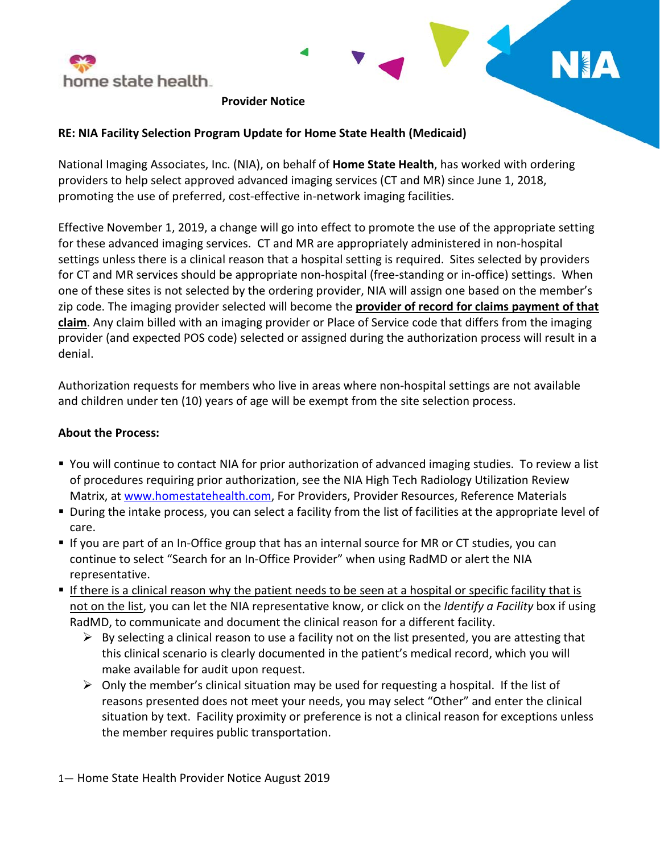



## **RE: NIA Facility Selection Program Update for Home State Health (Medicaid)**

National Imaging Associates, Inc. (NIA), on behalf of **Home State Health**, has worked with ordering providers to help select approved advanced imaging services (CT and MR) since June 1, 2018, promoting the use of preferred, cost-effective in-network imaging facilities.

Effective November 1, 2019, a change will go into effect to promote the use of the appropriate setting for these advanced imaging services. CT and MR are appropriately administered in non-hospital settings unless there is a clinical reason that a hospital setting is required. Sites selected by providers for CT and MR services should be appropriate non-hospital (free-standing or in-office) settings. When one of these sites is not selected by the ordering provider, NIA will assign one based on the member's zip code. The imaging provider selected will become the **provider of record for claims payment of that claim**. Any claim billed with an imaging provider or Place of Service code that differs from the imaging provider (and expected POS code) selected or assigned during the authorization process will result in a denial.

Authorization requests for members who live in areas where non-hospital settings are not available and children under ten (10) years of age will be exempt from the site selection process.

## **About the Process:**

- You will continue to contact NIA for prior authorization of advanced imaging studies. To review a list of procedures requiring prior authorization, see the NIA High Tech Radiology Utilization Review Matrix, at [www.homestatehealth.com,](http://www.homestatehealth.com/) For Providers, Provider Resources, Reference Materials
- During the intake process, you can select a facility from the list of facilities at the appropriate level of care.
- **If you are part of an In-Office group that has an internal source for MR or CT studies, you can** continue to select "Search for an In-Office Provider" when using RadMD or alert the NIA representative.
- If there is a clinical reason why the patient needs to be seen at a hospital or specific facility that is not on the list, you can let the NIA representative know, or click on the *Identify a Facility* box if using RadMD, to communicate and document the clinical reason for a different facility.
	- $\triangleright$  By selecting a clinical reason to use a facility not on the list presented, you are attesting that this clinical scenario is clearly documented in the patient's medical record, which you will make available for audit upon request.
	- $\triangleright$  Only the member's clinical situation may be used for requesting a hospital. If the list of reasons presented does not meet your needs, you may select "Other" and enter the clinical situation by text. Facility proximity or preference is not a clinical reason for exceptions unless the member requires public transportation.